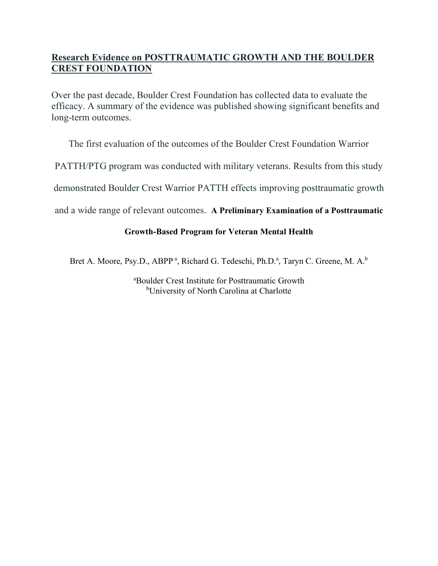# **Research Evidence on POSTTRAUMATIC GROWTH AND THE BOULDER CREST FOUNDATION**

Over the past decade, Boulder Crest Foundation has collected data to evaluate the efficacy. A summary of the evidence was published showing significant benefits and long-term outcomes.

The first evaluation of the outcomes of the Boulder Crest Foundation Warrior

PATTH/PTG program was conducted with military veterans. Results from this study

demonstrated Boulder Crest Warrior PATTH effects improving posttraumatic growth

and a wide range of relevant outcomes. **A Preliminary Examination of a Posttraumatic** 

# **Growth-Based Program for Veteran Mental Health**

Bret A. Moore, Psy.D., ABPP<sup>a</sup>, Richard G. Tedeschi, Ph.D.<sup>a</sup>, Taryn C. Greene, M. A.<sup>b</sup>

a Boulder Crest Institute for Posttraumatic Growth <sup>b</sup>University of North Carolina at Charlotte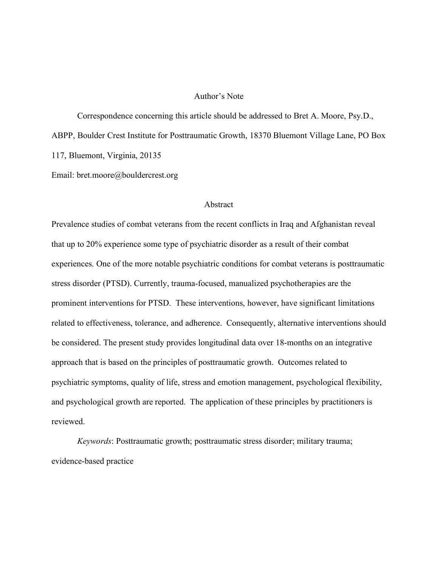## Author's Note

Correspondence concerning this article should be addressed to Bret A. Moore, Psy.D., ABPP, Boulder Crest Institute for Posttraumatic Growth, 18370 Bluemont Village Lane, PO Box 117, Bluemont, Virginia, 20135

Email: bret.moore@bouldercrest.org

# Abstract

Prevalence studies of combat veterans from the recent conflicts in Iraq and Afghanistan reveal that up to 20% experience some type of psychiatric disorder as a result of their combat experiences. One of the more notable psychiatric conditions for combat veterans is posttraumatic stress disorder (PTSD). Currently, trauma-focused, manualized psychotherapies are the prominent interventions for PTSD. These interventions, however, have significant limitations related to effectiveness, tolerance, and adherence. Consequently, alternative interventions should be considered. The present study provides longitudinal data over 18-months on an integrative approach that is based on the principles of posttraumatic growth. Outcomes related to psychiatric symptoms, quality of life, stress and emotion management, psychological flexibility, and psychological growth are reported. The application of these principles by practitioners is reviewed.

*Keywords*: Posttraumatic growth; posttraumatic stress disorder; military trauma; evidence-based practice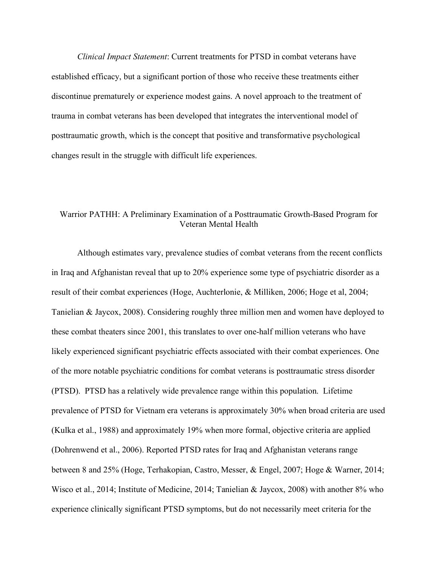*Clinical Impact Statement*: Current treatments for PTSD in combat veterans have established efficacy, but a significant portion of those who receive these treatments either discontinue prematurely or experience modest gains. A novel approach to the treatment of trauma in combat veterans has been developed that integrates the interventional model of posttraumatic growth, which is the concept that positive and transformative psychological changes result in the struggle with difficult life experiences.

# Warrior PATHH: A Preliminary Examination of a Posttraumatic Growth-Based Program for Veteran Mental Health

Although estimates vary, prevalence studies of combat veterans from the recent conflicts in Iraq and Afghanistan reveal that up to 20% experience some type of psychiatric disorder as a result of their combat experiences (Hoge, Auchterlonie, & Milliken, 2006; Hoge et al, 2004; Tanielian & Jaycox, 2008). Considering roughly three million men and women have deployed to these combat theaters since 2001, this translates to over one-half million veterans who have likely experienced significant psychiatric effects associated with their combat experiences. One of the more notable psychiatric conditions for combat veterans is posttraumatic stress disorder (PTSD). PTSD has a relatively wide prevalence range within this population. Lifetime prevalence of PTSD for Vietnam era veterans is approximately 30% when broad criteria are used (Kulka et al., 1988) and approximately 19% when more formal, objective criteria are applied (Dohrenwend et al., 2006). Reported PTSD rates for Iraq and Afghanistan veterans range between 8 and 25% (Hoge, Terhakopian, Castro, Messer, & Engel, 2007; Hoge & Warner, 2014; Wisco et al., 2014; Institute of Medicine, 2014; Tanielian & Jaycox, 2008) with another 8% who experience clinically significant PTSD symptoms, but do not necessarily meet criteria for the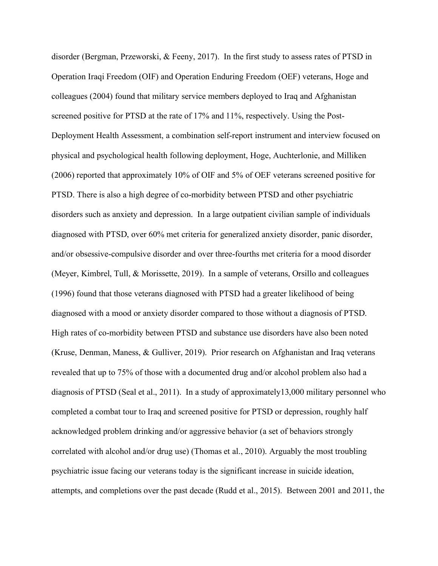disorder (Bergman, Przeworski, & Feeny, 2017). In the first study to assess rates of PTSD in Operation Iraqi Freedom (OIF) and Operation Enduring Freedom (OEF) veterans, Hoge and colleagues (2004) found that military service members deployed to Iraq and Afghanistan screened positive for PTSD at the rate of 17% and 11%, respectively. Using the Post-Deployment Health Assessment, a combination self-report instrument and interview focused on physical and psychological health following deployment, Hoge, Auchterlonie, and Milliken (2006) reported that approximately 10% of OIF and 5% of OEF veterans screened positive for PTSD. There is also a high degree of co-morbidity between PTSD and other psychiatric disorders such as anxiety and depression. In a large outpatient civilian sample of individuals diagnosed with PTSD, over 60% met criteria for generalized anxiety disorder, panic disorder, and/or obsessive-compulsive disorder and over three-fourths met criteria for a mood disorder (Meyer, Kimbrel, Tull, & Morissette, 2019). In a sample of veterans, Orsillo and colleagues (1996) found that those veterans diagnosed with PTSD had a greater likelihood of being diagnosed with a mood or anxiety disorder compared to those without a diagnosis of PTSD. High rates of co-morbidity between PTSD and substance use disorders have also been noted (Kruse, Denman, Maness, & Gulliver, 2019). Prior research on Afghanistan and Iraq veterans revealed that up to 75% of those with a documented drug and/or alcohol problem also had a diagnosis of PTSD (Seal et al., 2011). In a study of approximately13,000 military personnel who completed a combat tour to Iraq and screened positive for PTSD or depression, roughly half acknowledged problem drinking and/or aggressive behavior (a set of behaviors strongly correlated with alcohol and/or drug use) (Thomas et al., 2010). Arguably the most troubling psychiatric issue facing our veterans today is the significant increase in suicide ideation, attempts, and completions over the past decade (Rudd et al., 2015). Between 2001 and 2011, the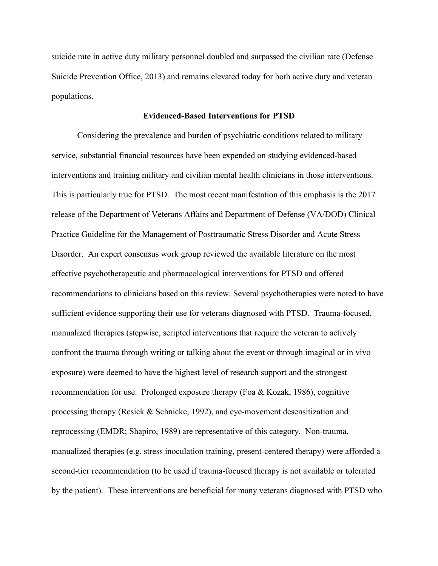suicide rate in active duty military personnel doubled and surpassed the civilian rate (Defense Suicide Prevention Office, 2013) and remains elevated today for both active duty and veteran populations.

## **Evidenced-Based Interventions for PTSD**

Considering the prevalence and burden of psychiatric conditions related to military service, substantial financial resources have been expended on studying evidenced-based interventions and training military and civilian mental health clinicians in those interventions. This is particularly true for PTSD. The most recent manifestation of this emphasis is the 2017 release of the Department of Veterans Affairs and Department of Defense (VA/DOD) Clinical Practice Guideline for the Management of Posttraumatic Stress Disorder and Acute Stress Disorder. An expert consensus work group reviewed the available literature on the most effective psychotherapeutic and pharmacological interventions for PTSD and offered recommendations to clinicians based on this review. Several psychotherapies were noted to have sufficient evidence supporting their use for veterans diagnosed with PTSD. Trauma-focused, manualized therapies (stepwise, scripted interventions that require the veteran to actively confront the trauma through writing or talking about the event or through imaginal or in vivo exposure) were deemed to have the highest level of research support and the strongest recommendation for use. Prolonged exposure therapy (Foa & Kozak, 1986), cognitive processing therapy (Resick & Schnicke, 1992), and eye-movement desensitization and reprocessing (EMDR; Shapiro, 1989) are representative of this category. Non-trauma, manualized therapies (e.g. stress inoculation training, present-centered therapy) were afforded a second-tier recommendation (to be used if trauma-focused therapy is not available or tolerated by the patient). These interventions are beneficial for many veterans diagnosed with PTSD who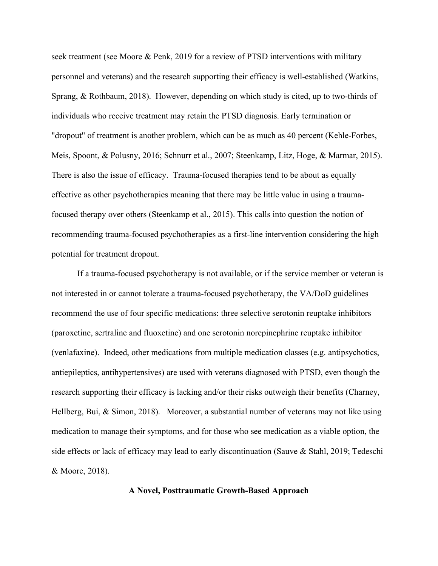seek treatment (see Moore & Penk, 2019 for a review of PTSD interventions with military personnel and veterans) and the research supporting their efficacy is well-established (Watkins, Sprang, & Rothbaum, 2018). However, depending on which study is cited, up to two-thirds of individuals who receive treatment may retain the PTSD diagnosis. Early termination or "dropout" of treatment is another problem, which can be as much as 40 percent (Kehle-Forbes, Meis, Spoont, & Polusny, 2016; Schnurr et al., 2007; Steenkamp, Litz, Hoge, & Marmar, 2015). There is also the issue of efficacy. Trauma-focused therapies tend to be about as equally effective as other psychotherapies meaning that there may be little value in using a traumafocused therapy over others (Steenkamp et al., 2015). This calls into question the notion of recommending trauma-focused psychotherapies as a first-line intervention considering the high potential for treatment dropout.

If a trauma-focused psychotherapy is not available, or if the service member or veteran is not interested in or cannot tolerate a trauma-focused psychotherapy, the VA/DoD guidelines recommend the use of four specific medications: three selective serotonin reuptake inhibitors (paroxetine, sertraline and fluoxetine) and one serotonin norepinephrine reuptake inhibitor (venlafaxine). Indeed, other medications from multiple medication classes (e.g. antipsychotics, antiepileptics, antihypertensives) are used with veterans diagnosed with PTSD, even though the research supporting their efficacy is lacking and/or their risks outweigh their benefits (Charney, Hellberg, Bui, & Simon, 2018). Moreover, a substantial number of veterans may not like using medication to manage their symptoms, and for those who see medication as a viable option, the side effects or lack of efficacy may lead to early discontinuation (Sauve & Stahl, 2019; Tedeschi & Moore, 2018).

## **A Novel, Posttraumatic Growth-Based Approach**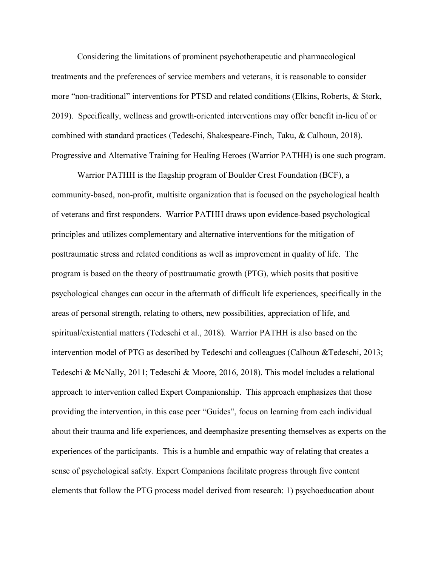Considering the limitations of prominent psychotherapeutic and pharmacological treatments and the preferences of service members and veterans, it is reasonable to consider more "non-traditional" interventions for PTSD and related conditions (Elkins, Roberts, & Stork, 2019). Specifically, wellness and growth-oriented interventions may offer benefit in-lieu of or combined with standard practices (Tedeschi, Shakespeare-Finch, Taku, & Calhoun, 2018). Progressive and Alternative Training for Healing Heroes (Warrior PATHH) is one such program.

Warrior PATHH is the flagship program of Boulder Crest Foundation (BCF), a community-based, non-profit, multisite organization that is focused on the psychological health of veterans and first responders. Warrior PATHH draws upon evidence-based psychological principles and utilizes complementary and alternative interventions for the mitigation of posttraumatic stress and related conditions as well as improvement in quality of life. The program is based on the theory of posttraumatic growth (PTG), which posits that positive psychological changes can occur in the aftermath of difficult life experiences, specifically in the areas of personal strength, relating to others, new possibilities, appreciation of life, and spiritual/existential matters (Tedeschi et al., 2018). Warrior PATHH is also based on the intervention model of PTG as described by Tedeschi and colleagues (Calhoun &Tedeschi, 2013; Tedeschi & McNally, 2011; Tedeschi & Moore, 2016, 2018). This model includes a relational approach to intervention called Expert Companionship. This approach emphasizes that those providing the intervention, in this case peer "Guides", focus on learning from each individual about their trauma and life experiences, and deemphasize presenting themselves as experts on the experiences of the participants. This is a humble and empathic way of relating that creates a sense of psychological safety. Expert Companions facilitate progress through five content elements that follow the PTG process model derived from research: 1) psychoeducation about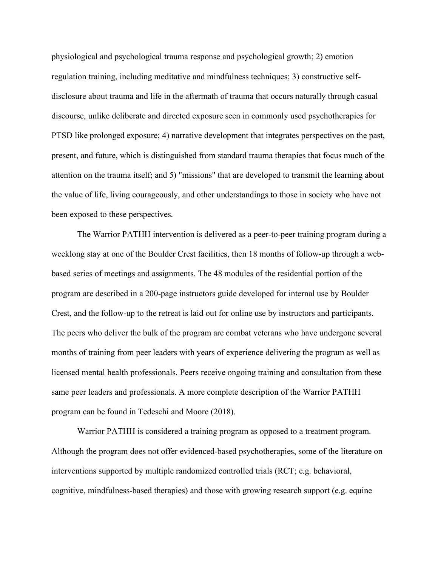physiological and psychological trauma response and psychological growth; 2) emotion regulation training, including meditative and mindfulness techniques; 3) constructive selfdisclosure about trauma and life in the aftermath of trauma that occurs naturally through casual discourse, unlike deliberate and directed exposure seen in commonly used psychotherapies for PTSD like prolonged exposure; 4) narrative development that integrates perspectives on the past, present, and future, which is distinguished from standard trauma therapies that focus much of the attention on the trauma itself; and 5) "missions" that are developed to transmit the learning about the value of life, living courageously, and other understandings to those in society who have not been exposed to these perspectives.

The Warrior PATHH intervention is delivered as a peer-to-peer training program during a weeklong stay at one of the Boulder Crest facilities, then 18 months of follow-up through a webbased series of meetings and assignments. The 48 modules of the residential portion of the program are described in a 200-page instructors guide developed for internal use by Boulder Crest, and the follow-up to the retreat is laid out for online use by instructors and participants. The peers who deliver the bulk of the program are combat veterans who have undergone several months of training from peer leaders with years of experience delivering the program as well as licensed mental health professionals. Peers receive ongoing training and consultation from these same peer leaders and professionals. A more complete description of the Warrior PATHH program can be found in Tedeschi and Moore (2018).

Warrior PATHH is considered a training program as opposed to a treatment program. Although the program does not offer evidenced-based psychotherapies, some of the literature on interventions supported by multiple randomized controlled trials (RCT; e.g. behavioral, cognitive, mindfulness-based therapies) and those with growing research support (e.g. equine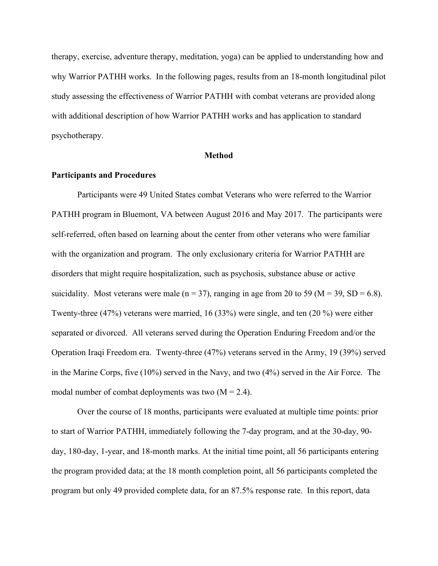therapy, exercise, adventure therapy, meditation, yoga) can be applied to understanding how and why Warrior PATHH works. In the following pages, results from an 18-month longitudinal pilot study assessing the effectiveness of Warrior PATHH with combat veterans are provided along with additional description of how Warrior PATHH works and has application to standard psychotherapy.

#### **Method**

## **Participants and Procedures**

Participants were 49 United States combat Veterans who were referred to the Warrior PATHH program in Bluemont, VA between August 2016 and May 2017. The participants were self-referred, often based on learning about the center from other veterans who were familiar with the organization and program. The only exclusionary criteria for Warrior PATHH are disorders that might require hospitalization, such as psychosis, substance abuse or active suicidality. Most veterans were male ( $n = 37$ ), ranging in age from 20 to 59 ( $M = 39$ , SD = 6.8). Twenty-three (47%) veterans were married, 16 (33%) were single, and ten (20 %) were either separated or divorced. All veterans served during the Operation Enduring Freedom and/or the Operation Iraqi Freedom era. Twenty-three (47%) veterans served in the Army, 19 (39%) served in the Marine Corps, five (10%) served in the Navy, and two (4%) served in the Air Force. The modal number of combat deployments was two  $(M = 2.4)$ .

Over the course of 18 months, participants were evaluated at multiple time points: prior to start of Warrior PATHH, immediately following the 7-day program, and at the 30-day, 90 day, 180-day, 1-year, and 18-month marks. At the initial time point, all 56 participants entering the program provided data; at the 18 month completion point, all 56 participants completed the program but only 49 provided complete data, for an 87.5% response rate. In this report, data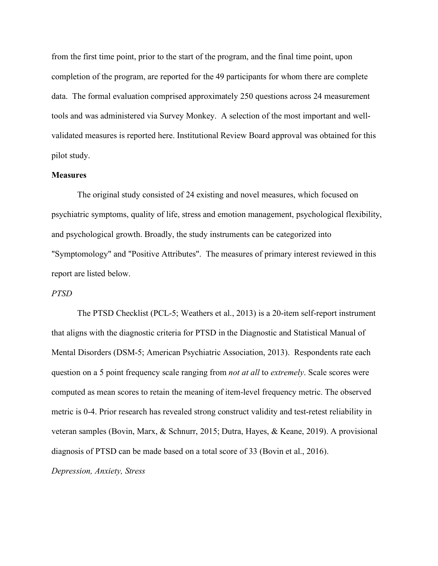from the first time point, prior to the start of the program, and the final time point, upon completion of the program, are reported for the 49 participants for whom there are complete data. The formal evaluation comprised approximately 250 questions across 24 measurement tools and was administered via Survey Monkey. A selection of the most important and wellvalidated measures is reported here. Institutional Review Board approval was obtained for this pilot study.

## **Measures**

The original study consisted of 24 existing and novel measures, which focused on psychiatric symptoms, quality of life, stress and emotion management, psychological flexibility, and psychological growth. Broadly, the study instruments can be categorized into "Symptomology" and "Positive Attributes". The measures of primary interest reviewed in this report are listed below.

#### *PTSD*

The PTSD Checklist (PCL-5; Weathers et al., 2013) is a 20-item self-report instrument that aligns with the diagnostic criteria for PTSD in the Diagnostic and Statistical Manual of Mental Disorders (DSM-5; American Psychiatric Association, 2013). Respondents rate each question on a 5 point frequency scale ranging from *not at all* to *extremely*. Scale scores were computed as mean scores to retain the meaning of item-level frequency metric. The observed metric is 0-4. Prior research has revealed strong construct validity and test-retest reliability in veteran samples (Bovin, Marx, & Schnurr, 2015; Dutra, Hayes, & Keane, 2019). A provisional diagnosis of PTSD can be made based on a total score of 33 (Bovin et al., 2016).

*Depression, Anxiety, Stress*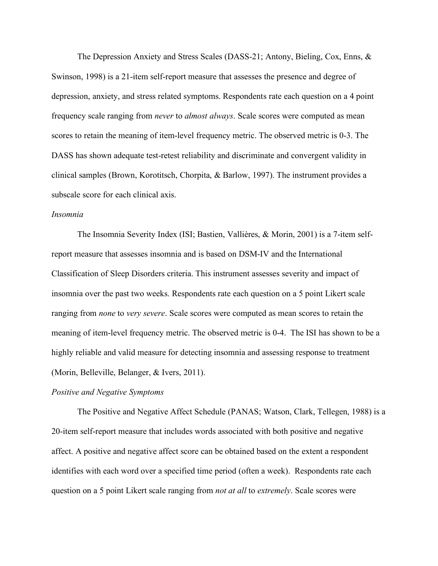The Depression Anxiety and Stress Scales (DASS-21; Antony, Bieling, Cox, Enns, & Swinson, 1998) is a 21-item self-report measure that assesses the presence and degree of depression, anxiety, and stress related symptoms. Respondents rate each question on a 4 point frequency scale ranging from *never* to *almost always*. Scale scores were computed as mean scores to retain the meaning of item-level frequency metric. The observed metric is 0-3. The DASS has shown adequate test-retest reliability and discriminate and convergent validity in clinical samples (Brown, Korotitsch, Chorpita, & Barlow, 1997). The instrument provides a subscale score for each clinical axis.

#### *Insomnia*

The Insomnia Severity Index (ISI; Bastien, Vallières, & Morin, 2001) is a 7-item selfreport measure that assesses insomnia and is based on DSM-IV and the International Classification of Sleep Disorders criteria. This instrument assesses severity and impact of insomnia over the past two weeks. Respondents rate each question on a 5 point Likert scale ranging from *none* to *very severe*. Scale scores were computed as mean scores to retain the meaning of item-level frequency metric. The observed metric is 0-4. The ISI has shown to be a highly reliable and valid measure for detecting insomnia and assessing response to treatment (Morin, Belleville, Belanger, & Ivers, 2011).

## *Positive and Negative Symptoms*

The Positive and Negative Affect Schedule (PANAS; Watson, Clark, Tellegen, 1988) is a 20-item self-report measure that includes words associated with both positive and negative affect. A positive and negative affect score can be obtained based on the extent a respondent identifies with each word over a specified time period (often a week). Respondents rate each question on a 5 point Likert scale ranging from *not at all* to *extremely*. Scale scores were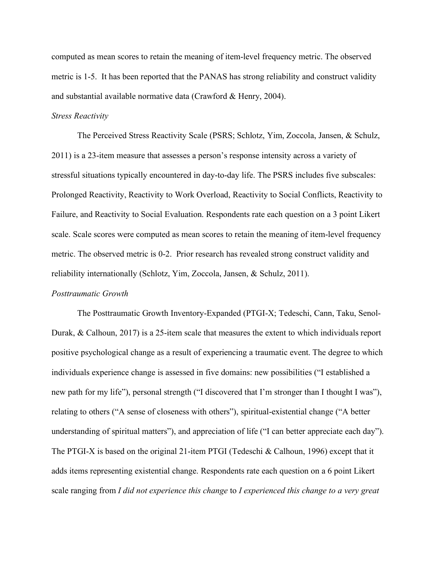computed as mean scores to retain the meaning of item-level frequency metric. The observed metric is 1-5. It has been reported that the PANAS has strong reliability and construct validity and substantial available normative data (Crawford & Henry, 2004).

## *Stress Reactivity*

The Perceived Stress Reactivity Scale (PSRS; Schlotz, Yim, Zoccola, Jansen, & Schulz, 2011) is a 23-item measure that assesses a person's response intensity across a variety of stressful situations typically encountered in day-to-day life. The PSRS includes five subscales: Prolonged Reactivity, Reactivity to Work Overload, Reactivity to Social Conflicts, Reactivity to Failure, and Reactivity to Social Evaluation. Respondents rate each question on a 3 point Likert scale. Scale scores were computed as mean scores to retain the meaning of item-level frequency metric. The observed metric is 0-2. Prior research has revealed strong construct validity and reliability internationally (Schlotz, Yim, Zoccola, Jansen, & Schulz, 2011).

#### *Posttraumatic Growth*

The Posttraumatic Growth Inventory-Expanded (PTGI-X; Tedeschi, Cann, Taku, Senol-Durak, & Calhoun, 2017) is a 25-item scale that measures the extent to which individuals report positive psychological change as a result of experiencing a traumatic event. The degree to which individuals experience change is assessed in five domains: new possibilities ("I established a new path for my life"), personal strength ("I discovered that I'm stronger than I thought I was"), relating to others ("A sense of closeness with others"), spiritual-existential change ("A better understanding of spiritual matters"), and appreciation of life ("I can better appreciate each day"). The PTGI-X is based on the original 21-item PTGI (Tedeschi & Calhoun, 1996) except that it adds items representing existential change. Respondents rate each question on a 6 point Likert scale ranging from *I did not experience this change* to *I experienced this change to a very great*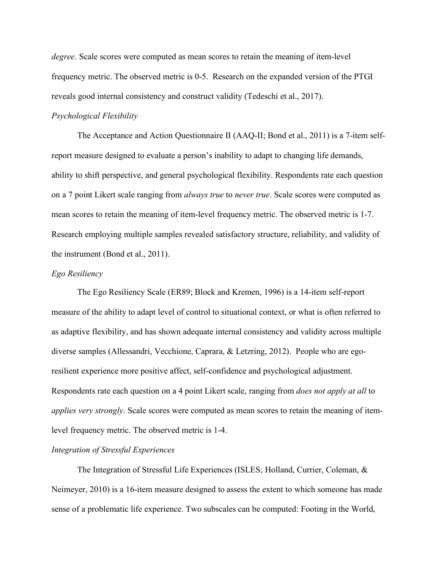*degree*. Scale scores were computed as mean scores to retain the meaning of item-level frequency metric. The observed metric is 0-5. Research on the expanded version of the PTGI reveals good internal consistency and construct validity (Tedeschi et al., 2017).

## *Psychological Flexibility*

The Acceptance and Action Questionnaire II (AAQ-II; Bond et al., 2011) is a 7-item selfreport measure designed to evaluate a person's inability to adapt to changing life demands, ability to shift perspective, and general psychological flexibility. Respondents rate each question on a 7 point Likert scale ranging from *always true* to *never true*. Scale scores were computed as mean scores to retain the meaning of item-level frequency metric. The observed metric is 1-7. Research employing multiple samples revealed satisfactory structure, reliability, and validity of the instrument (Bond et al., 2011).

## *Ego Resiliency*

The Ego Resiliency Scale (ER89; Block and Kremen, 1996) is a 14-item self-report measure of the ability to adapt level of control to situational context, or what is often referred to as adaptive flexibility, and has shown adequate internal consistency and validity across multiple diverse samples (Allessandri, Vecchione, Caprara, & Letzring, 2012). People who are egoresilient experience more positive affect, self-confidence and psychological adjustment. Respondents rate each question on a 4 point Likert scale, ranging from *does not apply at all* to *applies very strongly*. Scale scores were computed as mean scores to retain the meaning of itemlevel frequency metric. The observed metric is 1-4.

# *Integration of Stressful Experiences*

The Integration of Stressful Life Experiences (ISLES; Holland, Currier, Coleman, & Neimeyer, 2010) is a 16-item measure designed to assess the extent to which someone has made sense of a problematic life experience. Two subscales can be computed: Footing in the World,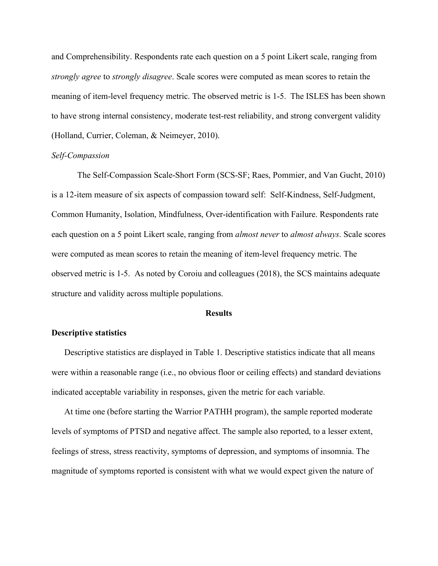and Comprehensibility. Respondents rate each question on a 5 point Likert scale, ranging from *strongly agree* to *strongly disagree*. Scale scores were computed as mean scores to retain the meaning of item-level frequency metric. The observed metric is 1-5. The ISLES has been shown to have strong internal consistency, moderate test-rest reliability, and strong convergent validity (Holland, Currier, Coleman, & Neimeyer, 2010).

### *Self-Compassion*

The Self-Compassion Scale-Short Form (SCS-SF; Raes, Pommier, and Van Gucht, 2010) is a 12-item measure of six aspects of compassion toward self: Self-Kindness, Self-Judgment, Common Humanity, Isolation, Mindfulness, Over-identification with Failure. Respondents rate each question on a 5 point Likert scale, ranging from *almost never* to *almost always*. Scale scores were computed as mean scores to retain the meaning of item-level frequency metric. The observed metric is 1-5. As noted by Coroiu and colleagues (2018), the SCS maintains adequate structure and validity across multiple populations.

#### **Results**

## **Descriptive statistics**

Descriptive statistics are displayed in Table 1. Descriptive statistics indicate that all means were within a reasonable range (i.e., no obvious floor or ceiling effects) and standard deviations indicated acceptable variability in responses, given the metric for each variable.

At time one (before starting the Warrior PATHH program), the sample reported moderate levels of symptoms of PTSD and negative affect. The sample also reported, to a lesser extent, feelings of stress, stress reactivity, symptoms of depression, and symptoms of insomnia. The magnitude of symptoms reported is consistent with what we would expect given the nature of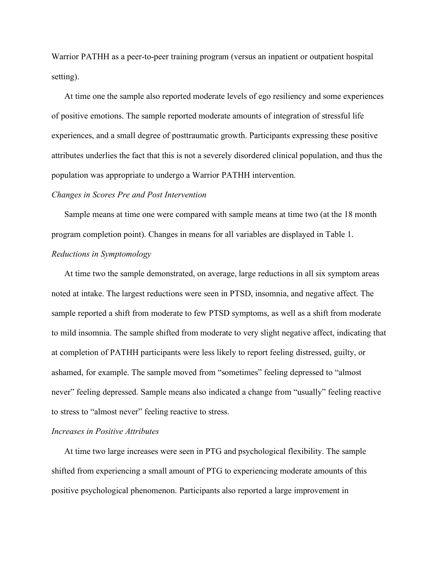Warrior PATHH as a peer-to-peer training program (versus an inpatient or outpatient hospital setting).

At time one the sample also reported moderate levels of ego resiliency and some experiences of positive emotions. The sample reported moderate amounts of integration of stressful life experiences, and a small degree of posttraumatic growth. Participants expressing these positive attributes underlies the fact that this is not a severely disordered clinical population, and thus the population was appropriate to undergo a Warrior PATHH intervention.

### *Changes in Scores Pre and Post Intervention*

Sample means at time one were compared with sample means at time two (at the 18 month program completion point). Changes in means for all variables are displayed in Table 1. *Reductions in Symptomology*

At time two the sample demonstrated, on average, large reductions in all six symptom areas noted at intake. The largest reductions were seen in PTSD, insomnia, and negative affect. The sample reported a shift from moderate to few PTSD symptoms, as well as a shift from moderate to mild insomnia. The sample shifted from moderate to very slight negative affect, indicating that at completion of PATHH participants were less likely to report feeling distressed, guilty, or ashamed, for example. The sample moved from "sometimes" feeling depressed to "almost never" feeling depressed. Sample means also indicated a change from "usually" feeling reactive to stress to "almost never" feeling reactive to stress.

## *Increases in Positive Attributes*

At time two large increases were seen in PTG and psychological flexibility. The sample shifted from experiencing a small amount of PTG to experiencing moderate amounts of this positive psychological phenomenon. Participants also reported a large improvement in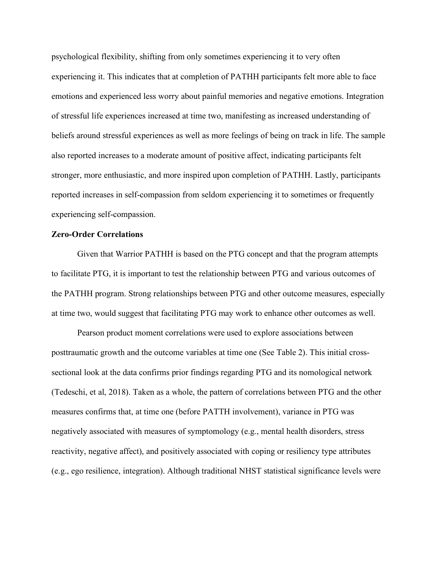psychological flexibility, shifting from only sometimes experiencing it to very often experiencing it. This indicates that at completion of PATHH participants felt more able to face emotions and experienced less worry about painful memories and negative emotions. Integration of stressful life experiences increased at time two, manifesting as increased understanding of beliefs around stressful experiences as well as more feelings of being on track in life. The sample also reported increases to a moderate amount of positive affect, indicating participants felt stronger, more enthusiastic, and more inspired upon completion of PATHH. Lastly, participants reported increases in self-compassion from seldom experiencing it to sometimes or frequently experiencing self-compassion.

## **Zero-Order Correlations**

Given that Warrior PATHH is based on the PTG concept and that the program attempts to facilitate PTG, it is important to test the relationship between PTG and various outcomes of the PATHH program. Strong relationships between PTG and other outcome measures, especially at time two, would suggest that facilitating PTG may work to enhance other outcomes as well.

Pearson product moment correlations were used to explore associations between posttraumatic growth and the outcome variables at time one (See Table 2). This initial crosssectional look at the data confirms prior findings regarding PTG and its nomological network (Tedeschi, et al, 2018). Taken as a whole, the pattern of correlations between PTG and the other measures confirms that, at time one (before PATTH involvement), variance in PTG was negatively associated with measures of symptomology (e.g., mental health disorders, stress reactivity, negative affect), and positively associated with coping or resiliency type attributes (e.g., ego resilience, integration). Although traditional NHST statistical significance levels were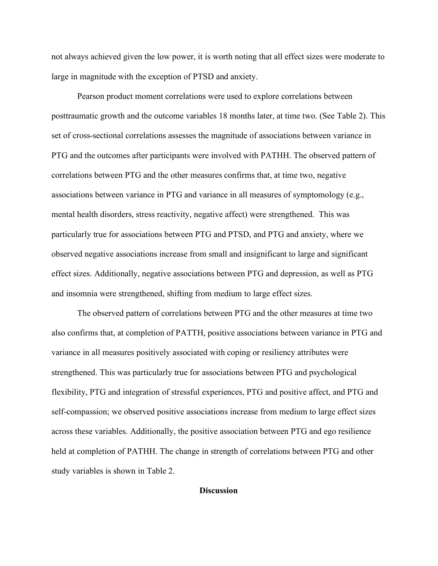not always achieved given the low power, it is worth noting that all effect sizes were moderate to large in magnitude with the exception of PTSD and anxiety.

Pearson product moment correlations were used to explore correlations between posttraumatic growth and the outcome variables 18 months later, at time two. (See Table 2). This set of cross-sectional correlations assesses the magnitude of associations between variance in PTG and the outcomes after participants were involved with PATHH. The observed pattern of correlations between PTG and the other measures confirms that, at time two, negative associations between variance in PTG and variance in all measures of symptomology (e.g., mental health disorders, stress reactivity, negative affect) were strengthened. This was particularly true for associations between PTG and PTSD, and PTG and anxiety, where we observed negative associations increase from small and insignificant to large and significant effect sizes. Additionally, negative associations between PTG and depression, as well as PTG and insomnia were strengthened, shifting from medium to large effect sizes.

The observed pattern of correlations between PTG and the other measures at time two also confirms that, at completion of PATTH, positive associations between variance in PTG and variance in all measures positively associated with coping or resiliency attributes were strengthened. This was particularly true for associations between PTG and psychological flexibility, PTG and integration of stressful experiences, PTG and positive affect, and PTG and self-compassion; we observed positive associations increase from medium to large effect sizes across these variables. Additionally, the positive association between PTG and ego resilience held at completion of PATHH. The change in strength of correlations between PTG and other study variables is shown in Table 2.

## **Discussion**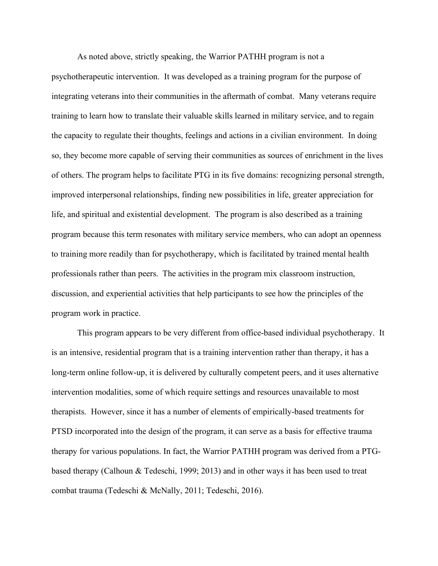As noted above, strictly speaking, the Warrior PATHH program is not a psychotherapeutic intervention. It was developed as a training program for the purpose of integrating veterans into their communities in the aftermath of combat. Many veterans require training to learn how to translate their valuable skills learned in military service, and to regain the capacity to regulate their thoughts, feelings and actions in a civilian environment. In doing so, they become more capable of serving their communities as sources of enrichment in the lives of others. The program helps to facilitate PTG in its five domains: recognizing personal strength, improved interpersonal relationships, finding new possibilities in life, greater appreciation for life, and spiritual and existential development. The program is also described as a training program because this term resonates with military service members, who can adopt an openness to training more readily than for psychotherapy, which is facilitated by trained mental health professionals rather than peers. The activities in the program mix classroom instruction, discussion, and experiential activities that help participants to see how the principles of the program work in practice.

This program appears to be very different from office-based individual psychotherapy. It is an intensive, residential program that is a training intervention rather than therapy, it has a long-term online follow-up, it is delivered by culturally competent peers, and it uses alternative intervention modalities, some of which require settings and resources unavailable to most therapists. However, since it has a number of elements of empirically-based treatments for PTSD incorporated into the design of the program, it can serve as a basis for effective trauma therapy for various populations. In fact, the Warrior PATHH program was derived from a PTGbased therapy (Calhoun & Tedeschi, 1999; 2013) and in other ways it has been used to treat combat trauma (Tedeschi & McNally, 2011; Tedeschi, 2016).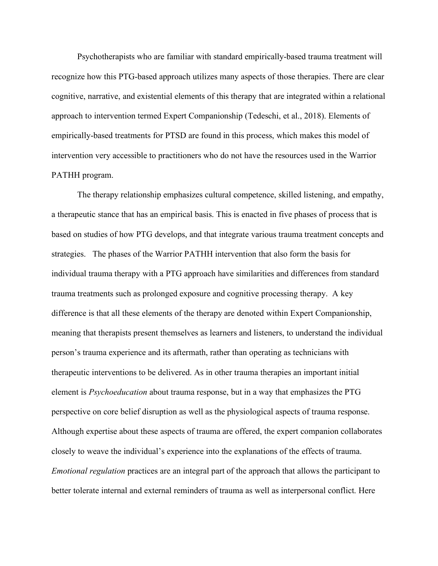Psychotherapists who are familiar with standard empirically-based trauma treatment will recognize how this PTG-based approach utilizes many aspects of those therapies. There are clear cognitive, narrative, and existential elements of this therapy that are integrated within a relational approach to intervention termed Expert Companionship (Tedeschi, et al., 2018). Elements of empirically-based treatments for PTSD are found in this process, which makes this model of intervention very accessible to practitioners who do not have the resources used in the Warrior PATHH program.

The therapy relationship emphasizes cultural competence, skilled listening, and empathy, a therapeutic stance that has an empirical basis. This is enacted in five phases of process that is based on studies of how PTG develops, and that integrate various trauma treatment concepts and strategies. The phases of the Warrior PATHH intervention that also form the basis for individual trauma therapy with a PTG approach have similarities and differences from standard trauma treatments such as prolonged exposure and cognitive processing therapy. A key difference is that all these elements of the therapy are denoted within Expert Companionship, meaning that therapists present themselves as learners and listeners, to understand the individual person's trauma experience and its aftermath, rather than operating as technicians with therapeutic interventions to be delivered. As in other trauma therapies an important initial element is *Psychoeducation* about trauma response, but in a way that emphasizes the PTG perspective on core belief disruption as well as the physiological aspects of trauma response. Although expertise about these aspects of trauma are offered, the expert companion collaborates closely to weave the individual's experience into the explanations of the effects of trauma. *Emotional regulation* practices are an integral part of the approach that allows the participant to better tolerate internal and external reminders of trauma as well as interpersonal conflict. Here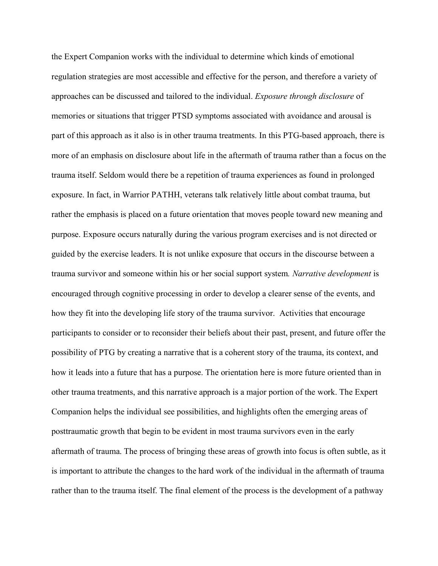the Expert Companion works with the individual to determine which kinds of emotional regulation strategies are most accessible and effective for the person, and therefore a variety of approaches can be discussed and tailored to the individual. *Exposure through disclosure* of memories or situations that trigger PTSD symptoms associated with avoidance and arousal is part of this approach as it also is in other trauma treatments. In this PTG-based approach, there is more of an emphasis on disclosure about life in the aftermath of trauma rather than a focus on the trauma itself. Seldom would there be a repetition of trauma experiences as found in prolonged exposure. In fact, in Warrior PATHH, veterans talk relatively little about combat trauma, but rather the emphasis is placed on a future orientation that moves people toward new meaning and purpose. Exposure occurs naturally during the various program exercises and is not directed or guided by the exercise leaders. It is not unlike exposure that occurs in the discourse between a trauma survivor and someone within his or her social support system*. Narrative development* is encouraged through cognitive processing in order to develop a clearer sense of the events, and how they fit into the developing life story of the trauma survivor. Activities that encourage participants to consider or to reconsider their beliefs about their past, present, and future offer the possibility of PTG by creating a narrative that is a coherent story of the trauma, its context, and how it leads into a future that has a purpose. The orientation here is more future oriented than in other trauma treatments, and this narrative approach is a major portion of the work. The Expert Companion helps the individual see possibilities, and highlights often the emerging areas of posttraumatic growth that begin to be evident in most trauma survivors even in the early aftermath of trauma. The process of bringing these areas of growth into focus is often subtle, as it is important to attribute the changes to the hard work of the individual in the aftermath of trauma rather than to the trauma itself. The final element of the process is the development of a pathway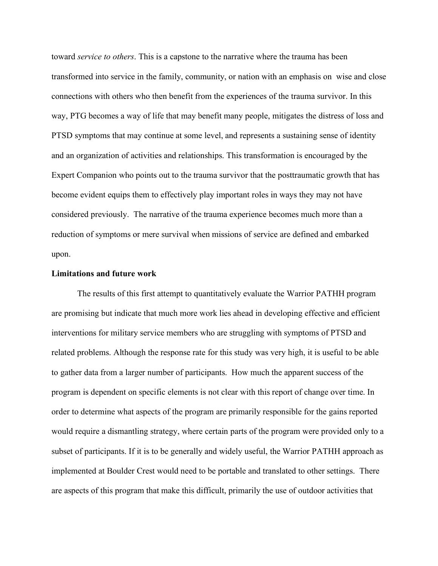toward *service to others*. This is a capstone to the narrative where the trauma has been transformed into service in the family, community, or nation with an emphasis on wise and close connections with others who then benefit from the experiences of the trauma survivor. In this way, PTG becomes a way of life that may benefit many people, mitigates the distress of loss and PTSD symptoms that may continue at some level, and represents a sustaining sense of identity and an organization of activities and relationships. This transformation is encouraged by the Expert Companion who points out to the trauma survivor that the posttraumatic growth that has become evident equips them to effectively play important roles in ways they may not have considered previously. The narrative of the trauma experience becomes much more than a reduction of symptoms or mere survival when missions of service are defined and embarked upon.

#### **Limitations and future work**

The results of this first attempt to quantitatively evaluate the Warrior PATHH program are promising but indicate that much more work lies ahead in developing effective and efficient interventions for military service members who are struggling with symptoms of PTSD and related problems. Although the response rate for this study was very high, it is useful to be able to gather data from a larger number of participants. How much the apparent success of the program is dependent on specific elements is not clear with this report of change over time. In order to determine what aspects of the program are primarily responsible for the gains reported would require a dismantling strategy, where certain parts of the program were provided only to a subset of participants. If it is to be generally and widely useful, the Warrior PATHH approach as implemented at Boulder Crest would need to be portable and translated to other settings. There are aspects of this program that make this difficult, primarily the use of outdoor activities that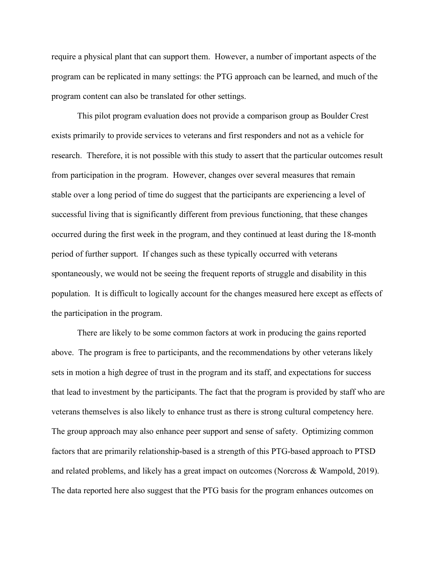require a physical plant that can support them. However, a number of important aspects of the program can be replicated in many settings: the PTG approach can be learned, and much of the program content can also be translated for other settings.

This pilot program evaluation does not provide a comparison group as Boulder Crest exists primarily to provide services to veterans and first responders and not as a vehicle for research. Therefore, it is not possible with this study to assert that the particular outcomes result from participation in the program. However, changes over several measures that remain stable over a long period of time do suggest that the participants are experiencing a level of successful living that is significantly different from previous functioning, that these changes occurred during the first week in the program, and they continued at least during the 18-month period of further support. If changes such as these typically occurred with veterans spontaneously, we would not be seeing the frequent reports of struggle and disability in this population. It is difficult to logically account for the changes measured here except as effects of the participation in the program.

There are likely to be some common factors at work in producing the gains reported above. The program is free to participants, and the recommendations by other veterans likely sets in motion a high degree of trust in the program and its staff, and expectations for success that lead to investment by the participants. The fact that the program is provided by staff who are veterans themselves is also likely to enhance trust as there is strong cultural competency here. The group approach may also enhance peer support and sense of safety. Optimizing common factors that are primarily relationship-based is a strength of this PTG-based approach to PTSD and related problems, and likely has a great impact on outcomes (Norcross & Wampold, 2019). The data reported here also suggest that the PTG basis for the program enhances outcomes on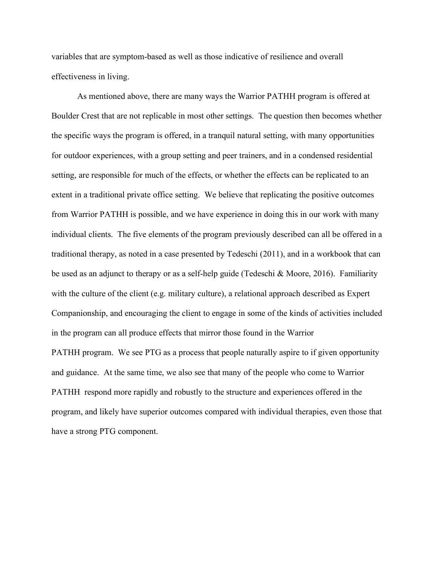variables that are symptom-based as well as those indicative of resilience and overall effectiveness in living.

As mentioned above, there are many ways the Warrior PATHH program is offered at Boulder Crest that are not replicable in most other settings. The question then becomes whether the specific ways the program is offered, in a tranquil natural setting, with many opportunities for outdoor experiences, with a group setting and peer trainers, and in a condensed residential setting, are responsible for much of the effects, or whether the effects can be replicated to an extent in a traditional private office setting. We believe that replicating the positive outcomes from Warrior PATHH is possible, and we have experience in doing this in our work with many individual clients. The five elements of the program previously described can all be offered in a traditional therapy, as noted in a case presented by Tedeschi (2011), and in a workbook that can be used as an adjunct to therapy or as a self-help guide (Tedeschi & Moore, 2016). Familiarity with the culture of the client (e.g. military culture), a relational approach described as Expert Companionship, and encouraging the client to engage in some of the kinds of activities included in the program can all produce effects that mirror those found in the Warrior

PATHH program. We see PTG as a process that people naturally aspire to if given opportunity and guidance. At the same time, we also see that many of the people who come to Warrior PATHH respond more rapidly and robustly to the structure and experiences offered in the program, and likely have superior outcomes compared with individual therapies, even those that have a strong PTG component.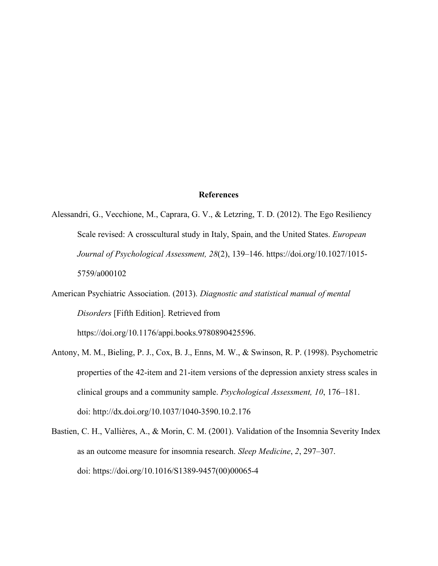#### **References**

- Alessandri, G., Vecchione, M., Caprara, G. V., & Letzring, T. D. (2012). The Ego Resiliency Scale revised: A crosscultural study in Italy, Spain, and the United States. *European Journal of Psychological Assessment, 28*(2), 139–146. [https://doi.org/10.1027/1015-](https://psycnet.apa.org/doi/10.1027/1015-5759/a000102) [5759/a000102](https://psycnet.apa.org/doi/10.1027/1015-5759/a000102)
- American Psychiatric Association. (2013). *Diagnostic and statistical manual of mental Disorders* [Fifth Edition]. Retrieved from

[https://doi.org/10.1176/appi.books.9780890425596.](https://doi.org/10.1176/appi.books.9780890425596)

- Antony, M. M., Bieling, P. J., Cox, B. J., Enns, M. W., & Swinson, R. P. (1998). Psychometric properties of the 42-item and 21-item versions of the depression anxiety stress scales in clinical groups and a community sample. *Psychological Assessment, 10*, 176–181. doi:<http://dx.doi.org/10.1037/1040-3590.10.2.176>
- Bastien, C. H., Vallières, A., & Morin, C. M. (2001). Validation of the Insomnia Severity Index as an outcome measure for insomnia research. *Sleep Medicine*, *2*, 297–307. doi: [https://doi.org/10.1016/S1389-9457\(00\)00065-4](https://doi.org/10.1016/S1389-9457(00)00065-4)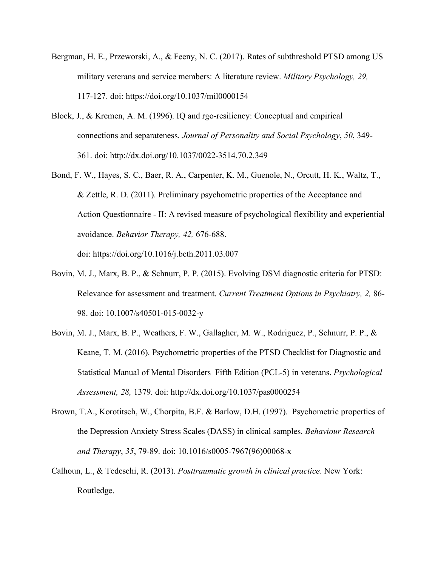- Bergman, H. E., Przeworski, A., & Feeny, N. C. (2017). Rates of subthreshold PTSD among US military veterans and service members: A literature review. *Military Psychology, 29,* 117-127. doi:<https://doi.org/10.1037/mil0000154>
- Block, J., & Kremen, A. M. (1996). IQ and rgo-resiliency: Conceptual and empirical connections and separateness. *Journal of Personality and Social Psychology*, *50*, 349- 361. doi:<http://dx.doi.org/10.1037/0022-3514.70.2.349>
- [Bond, F. W., Hayes, S. C., Baer, R. A., Carpenter, K. M., Guenole, N., Orcutt, H. K., Waltz, T.,](http://contextualscience.org/Bond_et_al_AAQ-II)  [& Zettle, R. D. \(2011\).](http://contextualscience.org/Bond_et_al_AAQ-II) Preliminary psychometric properties of the Acceptance and Action Questionnaire - II: A revised measure of psychological flexibility and experiential avoidance. *Behavior Therapy, 42,* 676-688. doi:<https://doi.org/10.1016/j.beth.2011.03.007>
- Bovin, M. J., Marx, B. P., & Schnurr, P. P. (2015). Evolving DSM diagnostic criteria for PTSD: Relevance for assessment and treatment. *Current Treatment Options in Psychiatry, 2,* 86- 98. doi: 10.1007/s40501-015-0032-y
- Bovin, M. J., Marx, B. P., Weathers, F. W., Gallagher, M. W., Rodriguez, P., Schnurr, P. P., & Keane, T. M. (2016). Psychometric properties of the PTSD Checklist for Diagnostic and Statistical Manual of Mental Disorders–Fifth Edition (PCL-5) in veterans. *Psychological Assessment, 28,* 1379. doi: [http://dx.doi.org/10.1037/pas0000254](https://psycnet.apa.org/doi/10.1037/pas0000254)
- Brown, T.A., Korotitsch, W., Chorpita, B.F. & Barlow, D.H. (1997). Psychometric properties of the Depression Anxiety Stress Scales (DASS) in clinical samples. *Behaviour Research and Therapy*, *35*, 79-89. doi: [10.1016/s0005-7967\(96\)00068-x](https://doi.org/10.1016/s0005-7967(96)00068-x)
- Calhoun, L., & Tedeschi, R. (2013). *Posttraumatic growth in clinical practice*. New York: Routledge.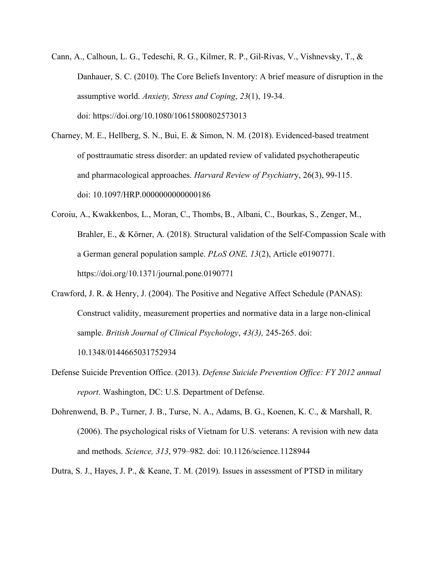- [Cann, A.](https://www.ncbi.nlm.nih.gov/pubmed/?term=Cann%20A%5BAuthor%5D&cauthor=true&cauthor_uid=19326274), [Calhoun, L. G.](https://www.ncbi.nlm.nih.gov/pubmed/?term=Calhoun%20LG%5BAuthor%5D&cauthor=true&cauthor_uid=19326274), [Tedeschi, R. G.](https://www.ncbi.nlm.nih.gov/pubmed/?term=Tedeschi%20RG%5BAuthor%5D&cauthor=true&cauthor_uid=19326274), [Kilmer,](https://www.ncbi.nlm.nih.gov/pubmed/?term=Kilmer%20RP%5BAuthor%5D&cauthor=true&cauthor_uid=19326274) R. P., [Gil-Rivas, V.](https://www.ncbi.nlm.nih.gov/pubmed/?term=Gil-Rivas%20V%5BAuthor%5D&cauthor=true&cauthor_uid=19326274), [Vishnevsky, T.](https://www.ncbi.nlm.nih.gov/pubmed/?term=Vishnevsky%20T%5BAuthor%5D&cauthor=true&cauthor_uid=19326274), & [Danhauer, S. C.](https://www.ncbi.nlm.nih.gov/pubmed/?term=Danhauer%20SC%5BAuthor%5D&cauthor=true&cauthor_uid=19326274) (2010). The Core Beliefs Inventory: A brief measure of disruption in the assumptive world. *Anxiety, Stress and Coping*, *23*(1), 19-34. doi:<https://doi.org/10.1080/10615800802573013>
- Charney, M. E., Hellberg, S. N., Bui, E. & Simon, N. M. (2018). Evidenced-based treatment of posttraumatic stress disorder: an updated review of validated psychotherapeutic and pharmacological approaches. *Harvard Review of Psychiatr*y, 26(3), 99-115. doi: 10.1097/HRP.0000000000000186
- Coroiu, A., Kwakkenbos, L., Moran, C., Thombs, B., Albani, C., Bourkas, S., Zenger, M., Brahler, E., & Körner, A. (2018). Structural validation of the Self-Compassion Scale with a German general population sample. *PLoS ONE, 13*(2), Article e0190771. [https://doi.org/10.1371/journal.pone.0190771](https://psycnet.apa.org/doi/10.1371/journal.pone.0190771)
- Crawford, J. R. & Henry, J. (2004). The Positive and Negative Affect Schedule (PANAS): Construct validity, measurement properties and normative data in a large non-clinical sample. *British Journal of Clinical Psychology*, *43(3),* 245-265. doi:

[10.1348/0144665031752934](https://www.researchgate.net/deref/http%3A%2F%2Fdx.doi.org%2F10.1348%2F0144665031752934)

- Defense Suicide Prevention Office. (2013). *Defense Suicide Prevention Office: FY 2012 annual report*. Washington, DC: U.S. Department of Defense.
- Dohrenwend, B. P., Turner, J. B., Turse, N. A., Adams, B. G., Koenen, K. C., & Marshall, R. (2006). The psychological risks of Vietnam for U.S. veterans: A revision with new data and methods. *Science, 313*, 979–982. doi: 10.1126/science.1128944
- Dutra, S. J., Hayes, J. P., & Keane, T. M. (2019). Issues in assessment of PTSD in military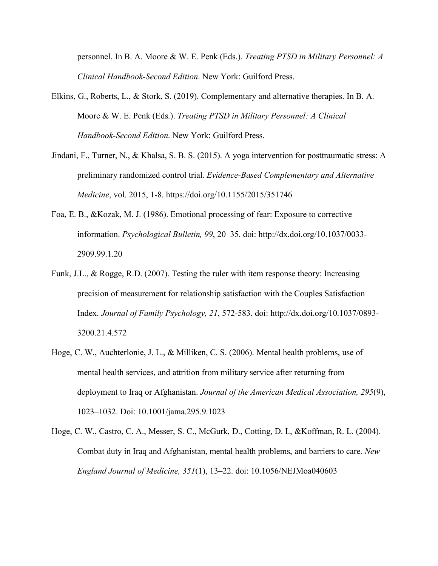personnel. In B. A. Moore & W. E. Penk (Eds.). *Treating PTSD in Military Personnel: A Clinical Handbook-Second Edition*. New York: Guilford Press.

- Elkins, G., Roberts, L., & Stork, S. (2019). Complementary and alternative therapies. In B. A. Moore & W. E. Penk (Eds.). *Treating PTSD in Military Personnel: A Clinical Handbook-Second Edition*. New York: Guilford Press.
- Jindani, F., Turner, N., & Khalsa, S. B. S. (2015). A yoga intervention for posttraumatic stress: A preliminary randomized control trial. *Evidence-Based Complementary and Alternative Medicine*, vol. 2015, 1-8.<https://doi.org/10.1155/2015/351746>
- Foa, E. B., &Kozak, M. J. (1986). Emotional processing of fear: Exposure to corrective information. *Psychological Bulletin, 99*, 20–35. doi: [http://dx.doi.org/10.1037/0033-](http://dx.doi.org/10.1037/0033-%092909.99.1.20) [2909.99.1.20](http://dx.doi.org/10.1037/0033-%092909.99.1.20)
- Funk, J.L., & Rogge, R.D. (2007). Testing the ruler with item response theory: Increasing precision of measurement for relationship satisfaction with the Couples Satisfaction Index. *Journal of Family Psychology, 21*, 572-583. doi: [http://dx.doi.org/10.1037/0893-](https://psycnet.apa.org/doi/10.1037/0893-3200.21.4.572) [3200.21.4.572](https://psycnet.apa.org/doi/10.1037/0893-3200.21.4.572)
- Hoge, C. W., Auchterlonie, J. L., & Milliken, C. S. (2006). Mental health problems, use of mental health services, and attrition from military service after returning from deployment to Iraq or Afghanistan. *Journal of the American Medical Association, 295*(9), 1023–1032. Doi: 10.1001/jama.295.9.1023
- Hoge, C. W., Castro, C. A., Messer, S. C., McGurk, D., Cotting, D. I., &Koffman, R. L. (2004). Combat duty in Iraq and Afghanistan, mental health problems, and barriers to care. *New England Journal of Medicine, 351*(1), 13–22. doi: 10.1056/NEJMoa040603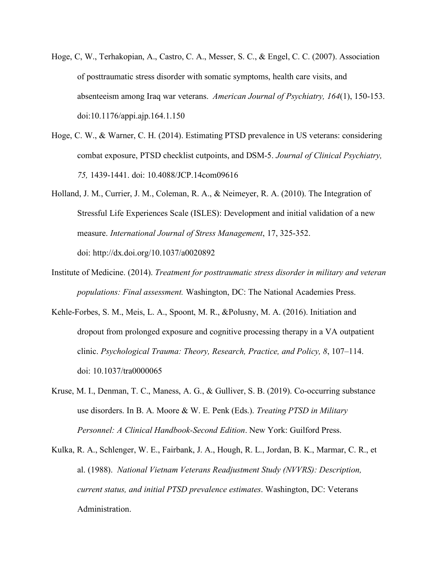- Hoge, C, W., Terhakopian, A., Castro, C. A., Messer, S. C., & Engel, C. C. (2007). Association of posttraumatic stress disorder with somatic symptoms, health care visits, and absenteeism among Iraq war veterans. *American Journal of Psychiatry, 164*(1), 150-153. doi:10.1176/appi.ajp.164.1.150
- Hoge, C. W., & Warner, C. H. (2014). Estimating PTSD prevalence in US veterans: considering combat exposure, PTSD checklist cutpoints, and DSM-5. *Journal of Clinical Psychiatry, 75,* 1439-1441. doi: 10.4088/JCP.14com09616
- Holland, J. M., Currier, J. M., Coleman, R. A., & Neimeyer, R. A. (2010). The Integration of Stressful Life Experiences Scale (ISLES): Development and initial validation of a new measure. *International Journal of Stress Management*, 17, 325-352. doi: http://dx.doi.org/10.1037/a0020892
- Institute of Medicine. (2014). *Treatment for posttraumatic stress disorder in military and veteran populations: Final assessment.* Washington, DC: The National Academies Press.
- Kehle-Forbes, S. M., Meis, L. A., Spoont, M. R., &Polusny, M. A. (2016). Initiation and dropout from prolonged exposure and cognitive processing therapy in a VA outpatient clinic. *Psychological Trauma: Theory, Research, Practice, and Policy, 8*, 107–114. doi: 10.1037/tra0000065
- Kruse, M. I., Denman, T. C., Maness, A. G., & Gulliver, S. B. (2019). Co-occurring substance use disorders. In B. A. Moore & W. E. Penk (Eds.). *Treating PTSD in Military Personnel: A Clinical Handbook-Second Edition*. New York: Guilford Press.
- Kulka, R. A., Schlenger, W. E., Fairbank, J. A., Hough, R. L., Jordan, B. K., Marmar, C. R., et al. (1988). *National Vietnam Veterans Readjustment Study (NVVRS): Description, current status, and initial PTSD prevalence estimates*. Washington, DC: Veterans Administration.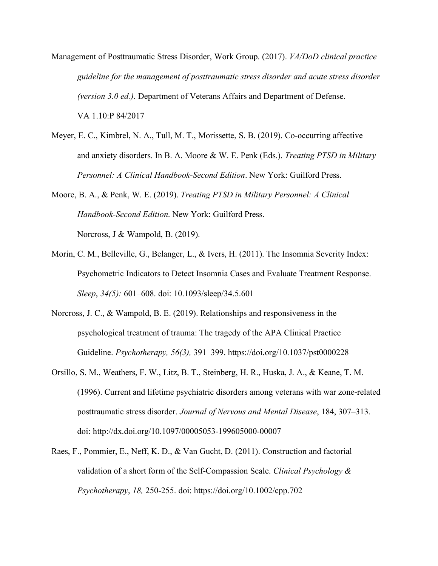Management of Posttraumatic Stress Disorder, Work Group. (2017). *VA/DoD clinical practice guideline for the management of posttraumatic stress disorder and acute stress disorder (version 3.0 ed.)*. Department of Veterans Affairs and Department of Defense. VA 1.10:P 84/2017

Meyer, E. C., Kimbrel, N. A., Tull, M. T., Morissette, S. B. (2019). Co-occurring affective and anxiety disorders. In B. A. Moore & W. E. Penk (Eds.). *Treating PTSD in Military Personnel: A Clinical Handbook-Second Edition*. New York: Guilford Press.

Moore, B. A., & Penk, W. E. (2019). *Treating PTSD in Military Personnel: A Clinical Handbook-Second Edition*. New York: Guilford Press. Norcross, J & Wampold, B. (2019).

- Morin, C. M., Belleville, G., Belanger, L., & Ivers, H. (2011). The Insomnia Severity Index: Psychometric Indicators to Detect Insomnia Cases and Evaluate Treatment Response. *Sleep*, *34(5):* 601–608. doi: [10.1093/sleep/34.5.601](https://dx.doi.org/10.1093%2Fsleep%2F34.5.601)
- Norcross, J. C., & Wampold, B. E. (2019). Relationships and responsiveness in the psychological treatment of trauma: The tragedy of the APA Clinical Practice Guideline. *Psychotherapy, 56(3),* 391–399. <https://doi.org/10.1037/pst0000228>
- Orsillo, S. M., Weathers, F. W., Litz, B. T., Steinberg, H. R., Huska, J. A., & Keane, T. M. (1996). Current and lifetime psychiatric disorders among veterans with war zone-related posttraumatic stress disorder. *Journal of Nervous and Mental Disease*, 184, 307–313. doi: [http://dx.doi.org/10.1097/00005053-199605000-00007](https://psycnet.apa.org/doi/10.1097/00005053-199605000-00007)
- Raes, F., Pommier, E., Neff, K. D., & Van Gucht, D. (2011). Construction and factorial validation of a short form of the Self-Compassion Scale. *Clinical Psychology & Psychotherapy*, *18,* 250-255. doi:<https://doi.org/10.1002/cpp.702>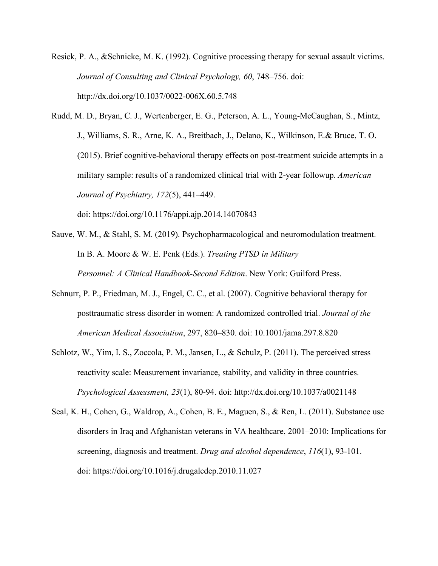- Resick, P. A., &Schnicke, M. K. (1992). Cognitive processing therapy for sexual assault victims. *Journal of Consulting and Clinical Psychology, 60*, 748–756. doi: [http://dx.doi.org/10.1037/0022-006X.60.5.748](https://psycnet.apa.org/doi/10.1037/0022-006X.60.5.748)
- Rudd, M. D., Bryan, C. J., Wertenberger, E. G., Peterson, A. L., Young-McCaughan, S., Mintz, J., Williams, S. R., Arne, K. A., Breitbach, J., Delano, K., Wilkinson, E.& Bruce, T. O. (2015). Brief cognitive-behavioral therapy effects on post-treatment suicide attempts in a military sample: results of a randomized clinical trial with 2-year followup. *American Journal of Psychiatry, 172*(5), 441–449. doi: https://doi.org/10.1176/appi.ajp.2014.14070843
- Sauve, W. M., & Stahl, S. M. (2019). Psychopharmacological and neuromodulation treatment. In B. A. Moore & W. E. Penk (Eds.). *Treating PTSD in Military Personnel: A Clinical Handbook-Second Edition*. New York: Guilford Press.
- Schnurr, P. P., Friedman, M. J., Engel, C. C., et al. (2007). Cognitive behavioral therapy for posttraumatic stress disorder in women: A randomized controlled trial. *Journal of the American Medical Association*, 297, 820–830. doi: 10.1001/jama.297.8.820
- Schlotz, W., Yim, I. S., Zoccola, P. M., Jansen, L., & Schulz, P. (2011). The perceived stress reactivity scale: Measurement invariance, stability, and validity in three countries. *Psychological Assessment, 23*(1), 80-94. doi: [http://dx.doi.org/10.1037/a0021148](https://psycnet.apa.org/doi/10.1037/a0021148)
- Seal, K. H., Cohen, G., Waldrop, A., Cohen, B. E., Maguen, S., & Ren, L. (2011). Substance use disorders in Iraq and Afghanistan veterans in VA healthcare, 2001–2010: Implications for screening, diagnosis and treatment. *Drug and alcohol dependence*, *116*(1), 93-101. doi:<https://doi.org/10.1016/j.drugalcdep.2010.11.027>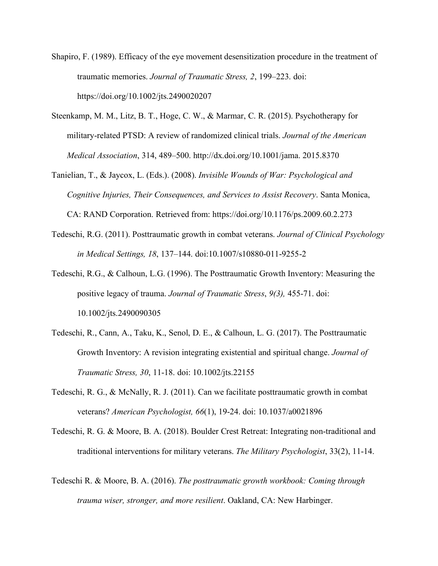- Shapiro, F. (1989). Efficacy of the eye movement desensitization procedure in the treatment of traumatic memories. *Journal of Traumatic Stress, 2*, 199–223. doi: <https://doi.org/10.1002/jts.2490020207>
- Steenkamp, M. M., Litz, B. T., Hoge, C. W., & Marmar, C. R. (2015). Psychotherapy for military-related PTSD: A review of randomized clinical trials. *Journal of the American Medical Association*, 314, 489–500. http://dx.doi.org/10.1001/jama. 2015.8370
- Tanielian, T., & Jaycox, L. (Eds.). (2008). *Invisible Wounds of War: Psychological and Cognitive Injuries, Their Consequences, and Services to Assist Recovery*. Santa Monica, CA: RAND Corporation. Retrieved from:<https://doi.org/10.1176/ps.2009.60.2.273>
- Tedeschi, R.G. (2011). Posttraumatic growth in combat veterans. *Journal of Clinical Psychology in Medical Settings, 18*, 137–144. doi:10.1007/s10880-011-9255-2
- Tedeschi, R.G., & Calhoun, L.G. (1996). The Posttraumatic Growth Inventory: Measuring the positive legacy of trauma. *Journal of Traumatic Stress*, *9(3),* 455-71. doi: 10.1002/jts.2490090305
- Tedeschi, R., Cann, A., Taku, K., Senol, D. E., & Calhoun, L. G. (2017). The Posttraumatic Growth Inventory: A revision integrating existential and spiritual change. *Journal of Traumatic Stress, 30*, 11-18. doi: 10.1002/jts.22155
- Tedeschi, R. G., & McNally, R. J. (2011). Can we facilitate posttraumatic growth in combat veterans? *American Psychologist, 66*(1), 19-24. doi: 10.1037/a0021896
- Tedeschi, R. G. & Moore, B. A. (2018). Boulder Crest Retreat: Integrating non-traditional and traditional interventions for military veterans. *The Military Psychologist*, 33(2), 11-14.
- Tedeschi R. & Moore, B. A. (2016). *The posttraumatic growth workbook: Coming through trauma wiser, stronger, and more resilient*. Oakland, CA: New Harbinger.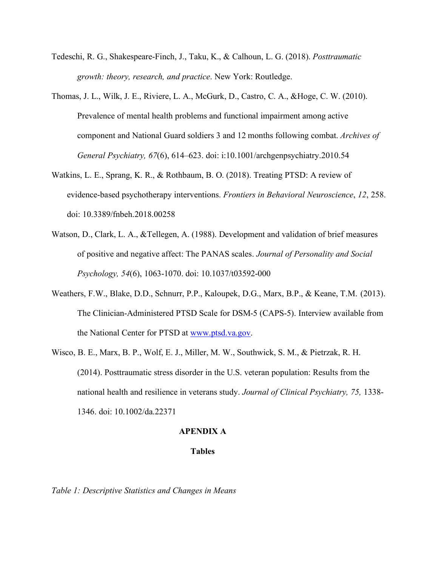- Tedeschi, R. G., Shakespeare-Finch, J., Taku, K., & Calhoun, L. G. (2018). *Posttraumatic growth: theory, research, and practice*. New York: Routledge.
- Thomas, J. L., Wilk, J. E., Riviere, L. A., McGurk, D., Castro, C. A., &Hoge, C. W. (2010). Prevalence of mental health problems and functional impairment among active component and National Guard soldiers 3 and 12 months following combat. *Archives of General Psychiatry, 67*(6), 614–623. doi: i:10.1001/archgenpsychiatry.2010.54
- Watkins, L. E., Sprang, K. R., & Rothbaum, B. O. (2018). Treating PTSD: A review of evidence-based psychotherapy interventions. *Frontiers in Behavioral Neuroscience*, *12*, 258. doi: 10.3389/fnbeh.2018.00258
- Watson, D., Clark, L. A., &Tellegen, A. (1988). Development and validation of brief measures of positive and negative affect: The PANAS scales. *Journal of Personality and Social Psychology, 54*(6), 1063-1070. doi: [10.1037/t03592-000](http://web.b.ebscohost.com/ehost/detail/detail?sid=84e02d5f-6270-4d3e-88de-1abca1071dd4@pdc-v-sessmgr01&vid=1&db=pst&ss=AN%2010.1037/t03592-000&sl=ll)
- Weathers, F.W., Blake, D.D., Schnurr, P.P., Kaloupek, D.G., Marx, B.P., & Keane, T.M. (2013). The Clinician-Administered PTSD Scale for DSM-5 (CAPS-5). Interview available from the National Center for PTSD at [www.ptsd.va.gov.](http://www.ptsd.va.gov/)
- Wisco, B. E., Marx, B. P., Wolf, E. J., Miller, M. W., Southwick, S. M., & Pietrzak, R. H. (2014). Posttraumatic stress disorder in the U.S. veteran population: Results from the national health and resilience in veterans study. *Journal of Clinical Psychiatry, 75,* 1338- 1346. doi: 10.1002/da.22371

#### **APENDIX A**

#### **Tables**

*Table 1: Descriptive Statistics and Changes in Means*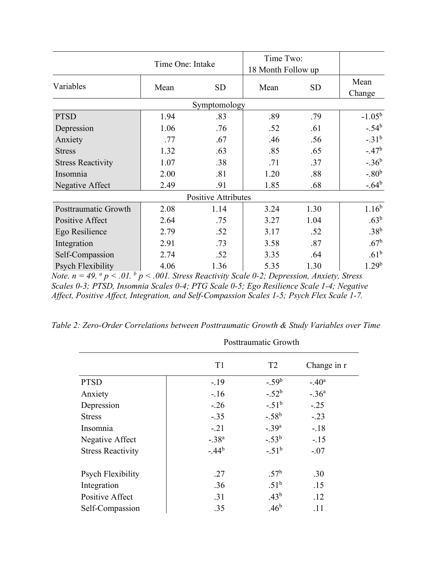|                            | Time One: Intake |           | Time Two:<br>18 Month Follow up |           |                   |  |  |  |
|----------------------------|------------------|-----------|---------------------------------|-----------|-------------------|--|--|--|
| Variables                  | Mean             | <b>SD</b> | Mean                            | <b>SD</b> | Mean<br>Change    |  |  |  |
| Symptomology               |                  |           |                                 |           |                   |  |  |  |
| <b>PTSD</b>                | 1.94             | .83       | .89                             | .79       | $-1.05^{\rm b}$   |  |  |  |
| Depression                 | 1.06             | .76       | .52                             | .61       | $-.54b$           |  |  |  |
| Anxiety                    | .77              | .67       | .46                             | .56       | $-31^{b}$         |  |  |  |
| <b>Stress</b>              | 1.32             | .63       | .85                             | .65       | $-.47b$           |  |  |  |
| <b>Stress Reactivity</b>   | 1.07             | .38       | .71                             | .37       | $-.36b$           |  |  |  |
| Insomnia                   | 2.00             | .81       | 1.20                            | .88       | $-.80b$           |  |  |  |
| Negative Affect            | 2.49             | .91       | 1.85                            | .68       | $-.64b$           |  |  |  |
| <b>Positive Attributes</b> |                  |           |                                 |           |                   |  |  |  |
| Posttraumatic Growth       | 2.08             | 1.14      | 3.24                            | 1.30      | $1.16^{b}$        |  |  |  |
| Positive Affect            | 2.64             | .75       | 3.27                            | 1.04      | $.63^{\rm b}$     |  |  |  |
| Ego Resilience             | 2.79             | .52       | 3.17                            | .52       | .38 <sup>b</sup>  |  |  |  |
| Integration                | 2.91             | .73       | 3.58                            | .87       | .67 <sup>b</sup>  |  |  |  |
| Self-Compassion            | 2.74             | .52       | 3.35                            | .64       | .61 <sup>b</sup>  |  |  |  |
| <b>Psych Flexibility</b>   | 4.06             | 1.36      | 5.35                            | 1.30      | 1.29 <sup>b</sup> |  |  |  |

*Note. n = 49. <sup>a</sup> p < .01. b p < .001. Stress Reactivity Scale 0-2; Depression, Anxiety, Stress Scales 0-3; PTSD, Insomnia Scales 0-4; PTG Scale 0-5; Ego Resilience Scale 1-4; Negative Affect, Positive Affect, Integration, and Self-Compassion Scales 1-5; Psych Flex Scale 1-7.*

*Table 2: Zero-Order Correlations between Posttraumatic Growth & Study Variables over Time*

|                          | Posttraumatic Growth |                  |             |  |
|--------------------------|----------------------|------------------|-------------|--|
|                          | T <sub>1</sub>       | T <sub>2</sub>   | Change in r |  |
| <b>PTSD</b>              | $-.19$               | $-.59b$          | $-.40a$     |  |
| Anxiety                  | $-.16$               | $-.52b$          | $-.36a$     |  |
| Depression               | $-.26$               | $-.51^{\rm b}$   | $-.25$      |  |
| <b>Stress</b>            | $-.35$               | $-.58b$          | $-.23$      |  |
| Insomnia                 | $-.21$               | $-.39a$          | $-.18$      |  |
| Negative Affect          | $-.38a$              | $-.53^b$         | $-.15$      |  |
| <b>Stress Reactivity</b> | $-.44b$              | $-.51^{b}$       | $-.07$      |  |
| Psych Flexibility        | .27                  | $.57^{\rm b}$    | .30         |  |
| Integration              | .36                  | .51 <sup>b</sup> | .15         |  |
| Positive Affect          | .31                  | $.43^b$          | .12         |  |
| Self-Compassion          | .35                  | .46 <sup>b</sup> | .11         |  |